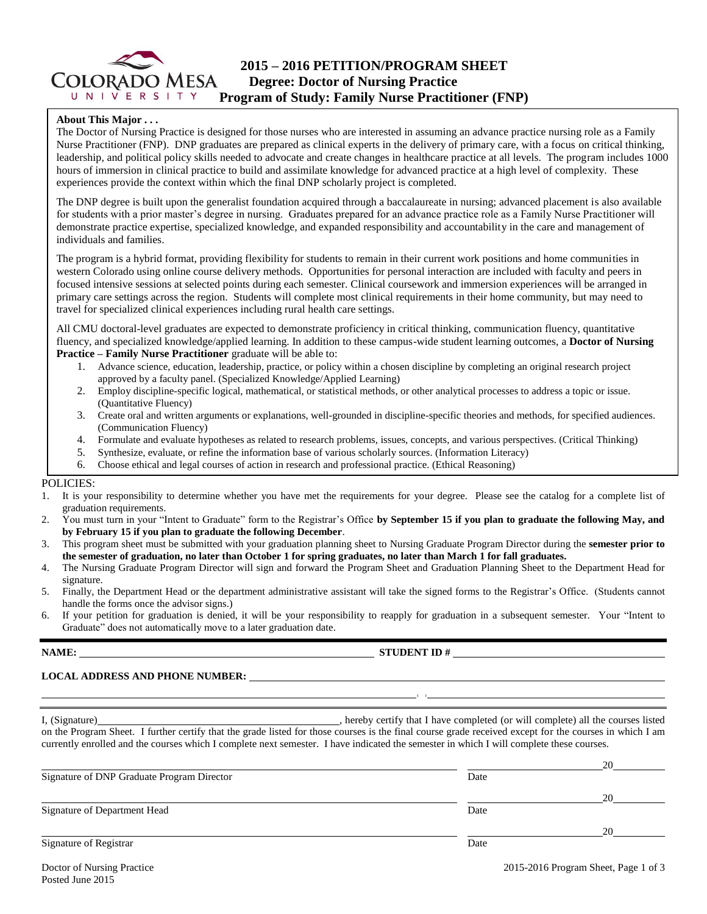

## **2015 – 2016 PETITION/PROGRAM SHEET Degree: Doctor of Nursing Practice**  $U N V E R S I T Y$  **Program of Study: Family Nurse Practitioner (FNP)**

#### **About This Major . . .**

The Doctor of Nursing Practice is designed for those nurses who are interested in assuming an advance practice nursing role as a Family Nurse Practitioner (FNP). DNP graduates are prepared as clinical experts in the delivery of primary care, with a focus on critical thinking, leadership, and political policy skills needed to advocate and create changes in healthcare practice at all levels. The program includes 1000 hours of immersion in clinical practice to build and assimilate knowledge for advanced practice at a high level of complexity. These experiences provide the context within which the final DNP scholarly project is completed.

The DNP degree is built upon the generalist foundation acquired through a baccalaureate in nursing; advanced placement is also available for students with a prior master's degree in nursing. Graduates prepared for an advance practice role as a Family Nurse Practitioner will demonstrate practice expertise, specialized knowledge, and expanded responsibility and accountability in the care and management of individuals and families.

The program is a hybrid format, providing flexibility for students to remain in their current work positions and home communities in western Colorado using online course delivery methods. Opportunities for personal interaction are included with faculty and peers in focused intensive sessions at selected points during each semester. Clinical coursework and immersion experiences will be arranged in primary care settings across the region. Students will complete most clinical requirements in their home community, but may need to travel for specialized clinical experiences including rural health care settings.

All CMU doctoral-level graduates are expected to demonstrate proficiency in critical thinking, communication fluency, quantitative fluency, and specialized knowledge/applied learning. In addition to these campus-wide student learning outcomes, a **Doctor of Nursing Practice – Family Nurse Practitioner** graduate will be able to:

- 1. Advance science, education, leadership, practice, or policy within a chosen discipline by completing an original research project approved by a faculty panel. (Specialized Knowledge/Applied Learning)
- 2. Employ discipline-specific logical, mathematical, or statistical methods, or other analytical processes to address a topic or issue. (Quantitative Fluency)
- 3. Create oral and written arguments or explanations, well-grounded in discipline-specific theories and methods, for specified audiences. (Communication Fluency)
- 4. Formulate and evaluate hypotheses as related to research problems, issues, concepts, and various perspectives. (Critical Thinking)
- 5. Synthesize, evaluate, or refine the information base of various scholarly sources. (Information Literacy)
- 6. Choose ethical and legal courses of action in research and professional practice. (Ethical Reasoning)

#### POLICIES:

- 1. It is your responsibility to determine whether you have met the requirements for your degree. Please see the catalog for a complete list of graduation requirements.
- 2. You must turn in your "Intent to Graduate" form to the Registrar's Office **by September 15 if you plan to graduate the following May, and by February 15 if you plan to graduate the following December**.
- 3. This program sheet must be submitted with your graduation planning sheet to Nursing Graduate Program Director during the **semester prior to the semester of graduation, no later than October 1 for spring graduates, no later than March 1 for fall graduates.**
- 4. The Nursing Graduate Program Director will sign and forward the Program Sheet and Graduation Planning Sheet to the Department Head for signature.
- 5. Finally, the Department Head or the department administrative assistant will take the signed forms to the Registrar's Office. (Students cannot handle the forms once the advisor signs.)
- 6. If your petition for graduation is denied, it will be your responsibility to reapply for graduation in a subsequent semester. Your "Intent to Graduate" does not automatically move to a later graduation date.

#### **NAME: STUDENT ID #**

**( )** 

### **LOCAL ADDRESS AND PHONE NUMBER:**

I, (Signature) , hereby certify that I have completed (or will complete) all the courses listed on the Program Sheet. I further certify that the grade listed for those courses is the final course grade received except for the courses in which I am currently enrolled and the courses which I complete next semester. I have indicated the semester in which I will complete these courses.

|                                            |      | 20 |
|--------------------------------------------|------|----|
| Signature of DNP Graduate Program Director | Date |    |
|                                            |      | 20 |
| Signature of Department Head               | Date |    |
|                                            |      | 20 |
| Signature of Registrar                     | Date |    |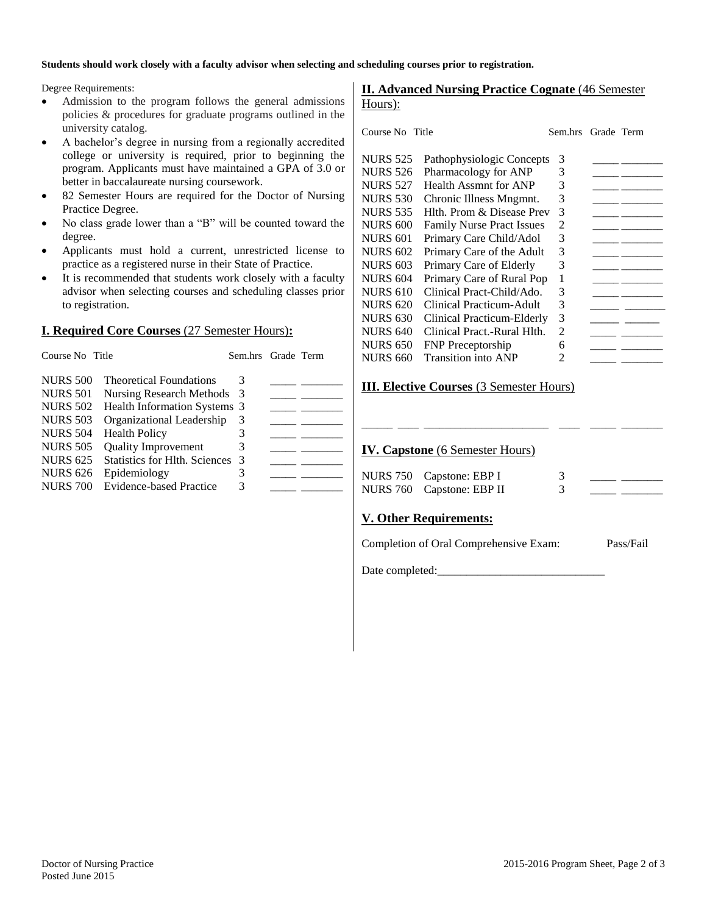#### **Students should work closely with a faculty advisor when selecting and scheduling courses prior to registration.**

Degree Requirements:

- Admission to the program follows the general admissions policies & procedures for graduate programs outlined in the university catalog.
- A bachelor's degree in nursing from a regionally accredited college or university is required, prior to beginning the program. Applicants must have maintained a GPA of 3.0 or better in baccalaureate nursing coursework.
- 82 Semester Hours are required for the Doctor of Nursing Practice Degree.
- No class grade lower than a "B" will be counted toward the degree.
- Applicants must hold a current, unrestricted license to practice as a registered nurse in their State of Practice.
- It is recommended that students work closely with a faculty advisor when selecting courses and scheduling classes prior to registration.

#### **I. Required Core Courses** (27 Semester Hours)**:**

| Course No Title |                                      | Sem.hrs Grade Term |  |
|-----------------|--------------------------------------|--------------------|--|
| <b>NURS 500</b> | <b>Theoretical Foundations</b>       | 3                  |  |
| <b>NURS 501</b> | Nursing Research Methods             | -3                 |  |
| <b>NURS 502</b> | Health Information Systems 3         |                    |  |
| <b>NURS 503</b> | Organizational Leadership            | 3                  |  |
| <b>NURS 504</b> | <b>Health Policy</b>                 | 3                  |  |
| <b>NURS 505</b> | <b>Quality Improvement</b>           | 3                  |  |
| <b>NURS 625</b> | <b>Statistics for Hlth. Sciences</b> | -3                 |  |
| <b>NURS 626</b> | Epidemiology                         | 3                  |  |
| <b>NURS 700</b> | Evidence-based Practice              | 3                  |  |

#### **II. Advanced Nursing Practice Cognate** (46 Semester Hours):

| Course No. Title |                                  | Sem.hrs | Grade Term |  |
|------------------|----------------------------------|---------|------------|--|
| <b>NURS 525</b>  | Pathophysiologic Concepts        | 3       |            |  |
| <b>NURS 526</b>  | Pharmacology for ANP             | 3       |            |  |
| <b>NURS 527</b>  | Health Assmnt for ANP            | 3       |            |  |
| <b>NURS 530</b>  | Chronic Illness Mngmnt.          | 3       |            |  |
| <b>NURS 535</b>  | Hlth. Prom & Disease Prev        | 3       |            |  |
| <b>NURS 600</b>  | <b>Family Nurse Pract Issues</b> | 2       |            |  |
| <b>NURS 601</b>  | Primary Care Child/Adol          | 3       |            |  |
| <b>NURS 602</b>  | Primary Care of the Adult        | 3       |            |  |
| <b>NURS 603</b>  | Primary Care of Elderly          | 3       |            |  |
| <b>NURS 604</b>  | Primary Care of Rural Pop        | 1       |            |  |
| <b>NURS 610</b>  | Clinical Pract-Child/Ado.        | 3       |            |  |
| <b>NURS 620</b>  | Clinical Practicum-Adult         | 3       |            |  |
| <b>NURS 630</b>  | Clinical Practicum-Elderly       | 3       |            |  |
| <b>NURS 640</b>  | Clinical Pract.-Rural Hlth.      | 2       |            |  |
| <b>NURS 650</b>  | <b>FNP</b> Preceptorship         | 6       |            |  |
| <b>NURS 660</b>  | Transition into ANP              | 2       |            |  |
|                  |                                  |         |            |  |

#### **III. Elective Courses** (3 Semester Hours)

#### **IV. Capstone** (6 Semester Hours)

| NURS 750 Capstone: EBP I  |  |  |
|---------------------------|--|--|
| NURS 760 Capstone: EBP II |  |  |

\_\_\_\_\_\_ \_\_\_\_ \_\_\_\_\_\_\_\_\_\_\_\_\_\_\_\_\_\_\_\_\_\_\_\_ \_\_\_\_ \_\_\_\_\_ \_\_\_\_\_\_\_\_

#### **V. Other Requirements:**

Completion of Oral Comprehensive Exam: Pass/Fail

Date completed: